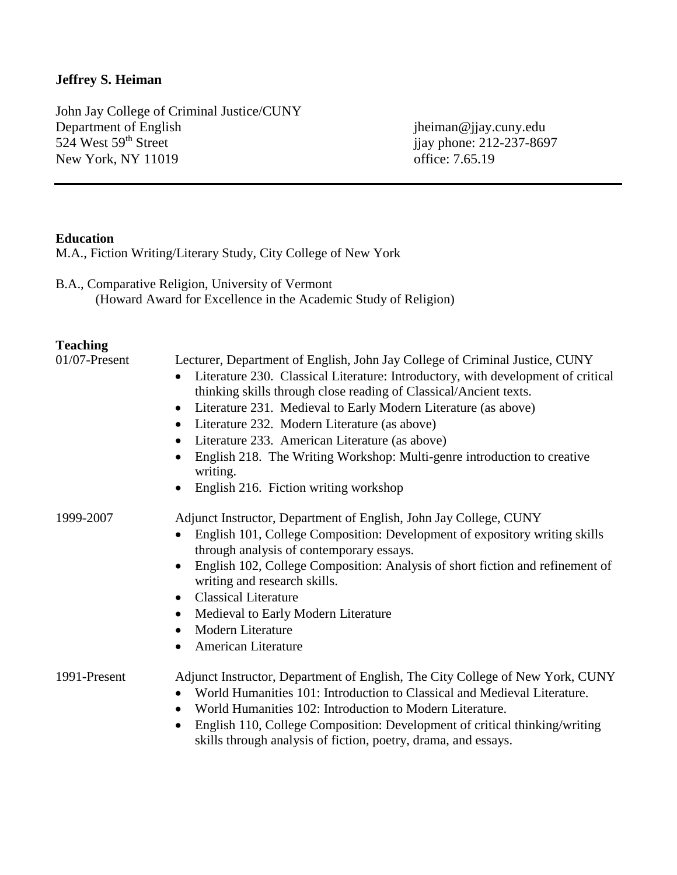# **Jeffrey S. Heiman**

John Jay College of Criminal Justice/CUNY Department of English jheiman@jjay.cuny.edu<br>
524 West 59<sup>th</sup> Street jjay phone: 212-237-869 New York, NY 11019

ijay phone: 212-237-8697<br>office: 7.65.19

## **Education**

M.A., Fiction Writing/Literary Study, City College of New York

B.A., Comparative Religion, University of Vermont (Howard Award for Excellence in the Academic Study of Religion)

# **Teaching**

| $01/07$ -Present | Lecturer, Department of English, John Jay College of Criminal Justice, CUNY<br>Literature 230. Classical Literature: Introductory, with development of critical<br>$\bullet$<br>thinking skills through close reading of Classical/Ancient texts.<br>Literature 231. Medieval to Early Modern Literature (as above)<br>$\bullet$<br>Literature 232. Modern Literature (as above)<br>$\bullet$<br>Literature 233. American Literature (as above)<br>$\bullet$<br>English 218. The Writing Workshop: Multi-genre introduction to creative<br>$\bullet$<br>writing.<br>English 216. Fiction writing workshop<br>$\bullet$ |
|------------------|------------------------------------------------------------------------------------------------------------------------------------------------------------------------------------------------------------------------------------------------------------------------------------------------------------------------------------------------------------------------------------------------------------------------------------------------------------------------------------------------------------------------------------------------------------------------------------------------------------------------|
| 1999-2007        | Adjunct Instructor, Department of English, John Jay College, CUNY<br>English 101, College Composition: Development of expository writing skills<br>$\bullet$<br>through analysis of contemporary essays.<br>English 102, College Composition: Analysis of short fiction and refinement of<br>$\bullet$<br>writing and research skills.<br><b>Classical Literature</b><br>$\bullet$<br>Medieval to Early Modern Literature<br>٠<br><b>Modern Literature</b><br>$\bullet$<br>American Literature<br>$\bullet$                                                                                                            |
| 1991-Present     | Adjunct Instructor, Department of English, The City College of New York, CUNY<br>World Humanities 101: Introduction to Classical and Medieval Literature.<br>$\bullet$<br>World Humanities 102: Introduction to Modern Literature.<br>$\bullet$<br>English 110, College Composition: Development of critical thinking/writing<br>$\bullet$<br>skills through analysis of fiction, poetry, drama, and essays.                                                                                                                                                                                                           |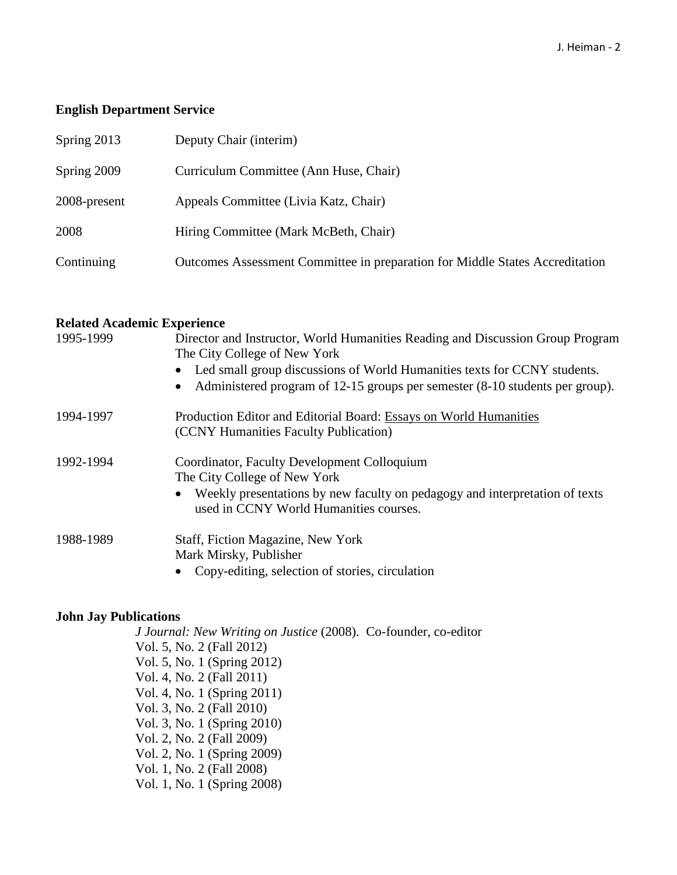## **English Department Service**

| Spring 2013  | Deputy Chair (interim)                                                       |
|--------------|------------------------------------------------------------------------------|
| Spring 2009  | Curriculum Committee (Ann Huse, Chair)                                       |
| 2008-present | Appeals Committee (Livia Katz, Chair)                                        |
| 2008         | Hiring Committee (Mark McBeth, Chair)                                        |
| Continuing   | Outcomes Assessment Committee in preparation for Middle States Accreditation |

## **Related Academic Experience**

| 1995-1999 | Director and Instructor, World Humanities Reading and Discussion Group Program<br>The City College of New York<br>Led small group discussions of World Humanities texts for CCNY students.<br>Administered program of 12-15 groups per semester (8-10 students per group).<br>$\bullet$ |
|-----------|-----------------------------------------------------------------------------------------------------------------------------------------------------------------------------------------------------------------------------------------------------------------------------------------|
| 1994-1997 | Production Editor and Editorial Board: Essays on World Humanities<br>(CCNY Humanities Faculty Publication)                                                                                                                                                                              |
| 1992-1994 | Coordinator, Faculty Development Colloquium<br>The City College of New York<br>Weekly presentations by new faculty on pedagogy and interpretation of texts<br>used in CCNY World Humanities courses.                                                                                    |
| 1988-1989 | Staff, Fiction Magazine, New York<br>Mark Mirsky, Publisher<br>Copy-editing, selection of stories, circulation                                                                                                                                                                          |

## **John Jay Publications**

*J Journal: New Writing on Justice* (2008). Co-founder, co-editor Vol. 5, No. 2 (Fall 2012) Vol. 5, No. 1 (Spring 2012) Vol. 4, No. 2 (Fall 2011) Vol. 4, No. 1 (Spring 2011) Vol. 3, No. 2 (Fall 2010) Vol. 3, No. 1 (Spring 2010) Vol. 2, No. 2 (Fall 2009) Vol. 2, No. 1 (Spring 2009) Vol. 1, No. 2 (Fall 2008) Vol. 1, No. 1 (Spring 2008)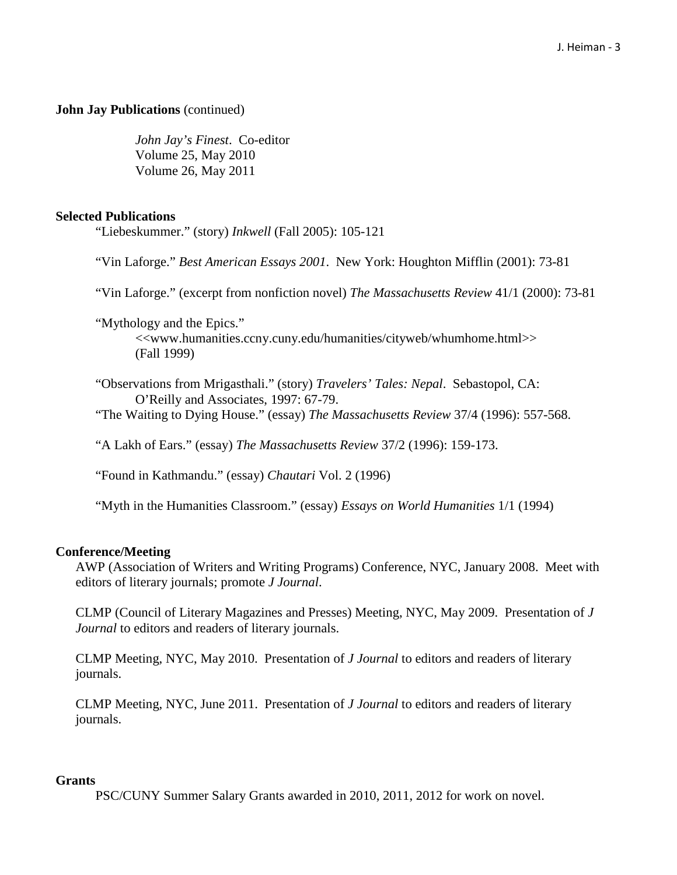## **John Jay Publications** (continued)

*John Jay's Finest*. Co-editor Volume 25, May 2010 Volume 26, May 2011

## **Selected Publications**

"Liebeskummer." (story) *Inkwell* (Fall 2005): 105-121

"Vin Laforge." *Best American Essays 2001*. New York: Houghton Mifflin (2001): 73-81

"Vin Laforge." (excerpt from nonfiction novel) *The Massachusetts Review* 41/1 (2000): 73-81

"Mythology and the Epics."

<<www.humanities.ccny.cuny.edu/humanities/cityweb/whumhome.html>> (Fall 1999)

"Observations from Mrigasthali." (story) *Travelers' Tales: Nepal*. Sebastopol, CA: O'Reilly and Associates, 1997: 67-79.

"The Waiting to Dying House." (essay) *The Massachusetts Review* 37/4 (1996): 557-568.

"A Lakh of Ears." (essay) *The Massachusetts Review* 37/2 (1996): 159-173.

"Found in Kathmandu." (essay) *Chautari* Vol. 2 (1996)

"Myth in the Humanities Classroom." (essay) *Essays on World Humanities* 1/1 (1994)

### **Conference/Meeting**

AWP (Association of Writers and Writing Programs) Conference, NYC, January 2008. Meet with editors of literary journals; promote *J Journal*.

CLMP (Council of Literary Magazines and Presses) Meeting, NYC, May 2009. Presentation of *J Journal* to editors and readers of literary journals.

CLMP Meeting, NYC, May 2010. Presentation of *J Journal* to editors and readers of literary journals.

CLMP Meeting, NYC, June 2011. Presentation of *J Journal* to editors and readers of literary journals.

### **Grants**

PSC/CUNY Summer Salary Grants awarded in 2010, 2011, 2012 for work on novel.